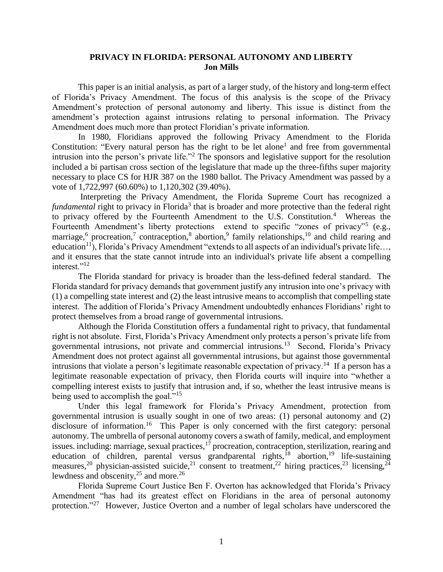## **PRIVACY IN FLORIDA: PERSONAL AUTONOMY AND LIBERTY Jon Mills**

This paper is an initial analysis, as part of a larger study, of the history and long-term effect of Florida's Privacy Amendment. The focus of this analysis is the scope of the Privacy Amendment's protection of personal autonomy and liberty. This issue is distinct from the amendment's protection against intrusions relating to personal information. The Privacy Amendment does much more than protect Floridian's private information.

In 1980, Floridians approved the following Privacy Amendment to the Florida Constitution: "Every natural person has the right to be let alone<sup>1</sup> and free from governmental intrusion into the person's private life."<sup>2</sup> The sponsors and legislative support for the resolution included a bi partisan cross section of the legislature that made up the three-fifths super majority necessary to place CS for HJR 387 on the 1980 ballot. The Privacy Amendment was passed by a vote of 1,722,997 (60.60%) to 1,120,302 (39.40%).

Interpreting the Privacy Amendment, the Florida Supreme Court has recognized a fundamental right to privacy in Florida<sup>3</sup> that is broader and more protective than the federal right to privacy offered by the Fourteenth Amendment to the U.S. Constitution.<sup>4</sup> Whereas the Fourteenth Amendment's liberty protections extend to specific "zones of privacy"<sup>5</sup> (e.g., marriage,<sup>6</sup> procreation,<sup>7</sup> contraception,<sup>8</sup> abortion,<sup>9</sup> family relationships,<sup>10</sup> and child rearing and education<sup>11</sup>), Florida's Privacy Amendment "extends to all aspects of an individual's private life..., and it ensures that the state cannot intrude into an individual's private life absent a compelling interest."<sup>12</sup>

The Florida standard for privacy is broader than the less-defined federal standard. The Florida standard for privacy demands that government justify any intrusion into one's privacy with (1) a compelling state interest and (2) the least intrusive means to accomplish that compelling state interest. The addition of Florida's Privacy Amendment undoubtedly enhances Floridians' right to protect themselves from a broad range of governmental intrusions.

Although the Florida Constitution offers a fundamental right to privacy, that fundamental right is not absolute. First, Florida's Privacy Amendment only protects a person's private life from governmental intrusions, not private and commercial intrusions.<sup>13</sup> Second, Florida's Privacy Amendment does not protect against all governmental intrusions, but against those governmental intrusions that violate a person's legitimate reasonable expectation of privacy.<sup>14</sup> If a person has a legitimate reasonable expectation of privacy, then Florida courts will inquire into "whether a compelling interest exists to justify that intrusion and, if so, whether the least intrusive means is being used to accomplish the goal."<sup>15</sup>

Under this legal framework for Florida's Privacy Amendment, protection from governmental intrusion is usually sought in one of two areas: (1) personal autonomy and (2) disclosure of information.<sup>16</sup> This Paper is only concerned with the first category: personal autonomy. The umbrella of personal autonomy covers a swath of family, medical, and employment issues. including: marriage, sexual practices, $17$  procreation, contraception, sterilization, rearing and education of children, parental versus grandparental rights,<sup>18</sup> abortion,<sup>19</sup> life-sustaining measures,<sup>20</sup> physician-assisted suicide,<sup>21</sup> consent to treatment,<sup>22</sup> hiring practices,<sup>23</sup> licensing,<sup>24</sup> lewdness and obscenity,  $2^5$  and more.<sup>26</sup>

Florida Supreme Court Justice Ben F. Overton has acknowledged that Florida's Privacy Amendment "has had its greatest effect on Floridians in the area of personal autonomy protection."<sup>27</sup> However, Justice Overton and a number of legal scholars have underscored the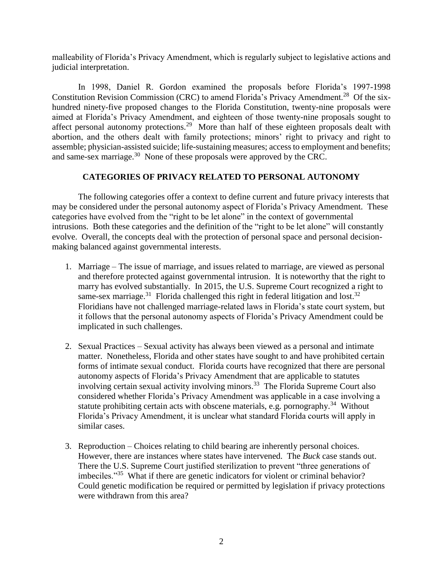malleability of Florida's Privacy Amendment, which is regularly subject to legislative actions and judicial interpretation.

In 1998, Daniel R. Gordon examined the proposals before Florida's 1997-1998 Constitution Revision Commission (CRC) to amend Florida's Privacy Amendment.<sup>28</sup> Of the sixhundred ninety-five proposed changes to the Florida Constitution, twenty-nine proposals were aimed at Florida's Privacy Amendment, and eighteen of those twenty-nine proposals sought to affect personal autonomy protections.<sup>29</sup> More than half of these eighteen proposals dealt with abortion, and the others dealt with family protections; minors' right to privacy and right to assemble; physician-assisted suicide; life-sustaining measures; access to employment and benefits; and same-sex marriage.<sup>30</sup> None of these proposals were approved by the CRC.

## **CATEGORIES OF PRIVACY RELATED TO PERSONAL AUTONOMY**

The following categories offer a context to define current and future privacy interests that may be considered under the personal autonomy aspect of Florida's Privacy Amendment. These categories have evolved from the "right to be let alone" in the context of governmental intrusions. Both these categories and the definition of the "right to be let alone" will constantly evolve. Overall, the concepts deal with the protection of personal space and personal decisionmaking balanced against governmental interests.

- 1. Marriage The issue of marriage, and issues related to marriage, are viewed as personal and therefore protected against governmental intrusion. It is noteworthy that the right to marry has evolved substantially. In 2015, the U.S. Supreme Court recognized a right to same-sex marriage.<sup>31</sup> Florida challenged this right in federal litigation and lost.<sup>32</sup> Floridians have not challenged marriage-related laws in Florida's state court system, but it follows that the personal autonomy aspects of Florida's Privacy Amendment could be implicated in such challenges.
- 2. Sexual Practices Sexual activity has always been viewed as a personal and intimate matter. Nonetheless, Florida and other states have sought to and have prohibited certain forms of intimate sexual conduct. Florida courts have recognized that there are personal autonomy aspects of Florida's Privacy Amendment that are applicable to statutes involving certain sexual activity involving minors.<sup>33</sup> The Florida Supreme Court also considered whether Florida's Privacy Amendment was applicable in a case involving a statute prohibiting certain acts with obscene materials, e.g. pornography.<sup>34</sup> Without Florida's Privacy Amendment, it is unclear what standard Florida courts will apply in similar cases.
- 3. Reproduction Choices relating to child bearing are inherently personal choices. However, there are instances where states have intervened. The *Buck* case stands out. There the U.S. Supreme Court justified sterilization to prevent "three generations of imbeciles."<sup>35</sup> What if there are genetic indicators for violent or criminal behavior? Could genetic modification be required or permitted by legislation if privacy protections were withdrawn from this area?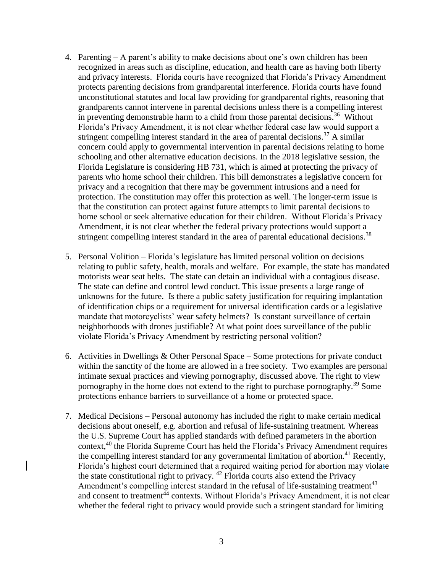- 4. Parenting A parent's ability to make decisions about one's own children has been recognized in areas such as discipline, education, and health care as having both liberty and privacy interests. Florida courts have recognized that Florida's Privacy Amendment protects parenting decisions from grandparental interference. Florida courts have found unconstitutional statutes and local law providing for grandparental rights, reasoning that grandparents cannot intervene in parental decisions unless there is a compelling interest in preventing demonstrable harm to a child from those parental decisions.<sup>36</sup> Without Florida's Privacy Amendment, it is not clear whether federal case law would support a stringent compelling interest standard in the area of parental decisions.<sup>37</sup> A similar concern could apply to governmental intervention in parental decisions relating to home schooling and other alternative education decisions. In the 2018 legislative session, the Florida Legislature is considering HB 731, which is aimed at protecting the privacy of parents who home school their children. This bill demonstrates a legislative concern for privacy and a recognition that there may be government intrusions and a need for protection. The constitution may offer this protection as well. The longer-term issue is that the constitution can protect against future attempts to limit parental decisions to home school or seek alternative education for their children. Without Florida's Privacy Amendment, it is not clear whether the federal privacy protections would support a stringent compelling interest standard in the area of parental educational decisions.<sup>38</sup>
- 5. Personal Volition Florida's legislature has limited personal volition on decisions relating to public safety, health, morals and welfare. For example, the state has mandated motorists wear seat belts. The state can detain an individual with a contagious disease. The state can define and control lewd conduct. This issue presents a large range of unknowns for the future. Is there a public safety justification for requiring implantation of identification chips or a requirement for universal identification cards or a legislative mandate that motorcyclists' wear safety helmets? Is constant surveillance of certain neighborhoods with drones justifiable? At what point does surveillance of the public violate Florida's Privacy Amendment by restricting personal volition?
- 6. Activities in Dwellings & Other Personal Space Some protections for private conduct within the sanctity of the home are allowed in a free society. Two examples are personal intimate sexual practices and viewing pornography, discussed above. The right to view pornography in the home does not extend to the right to purchase pornography.<sup>39</sup> Some protections enhance barriers to surveillance of a home or protected space.
- 7. Medical Decisions Personal autonomy has included the right to make certain medical decisions about oneself, e.g. abortion and refusal of life-sustaining treatment. Whereas the U.S. Supreme Court has applied standards with defined parameters in the abortion context,<sup>40</sup> the Florida Supreme Court has held the Florida's Privacy Amendment requires the compelling interest standard for any governmental limitation of abortion.<sup>41</sup> Recently, Florida's highest court determined that a required waiting period for abortion may violate the state constitutional right to privacy. <sup>42</sup> Florida courts also extend the Privacy Amendment's compelling interest standard in the refusal of life-sustaining treatment $43$ and consent to treatment $44$  contexts. Without Florida's Privacy Amendment, it is not clear whether the federal right to privacy would provide such a stringent standard for limiting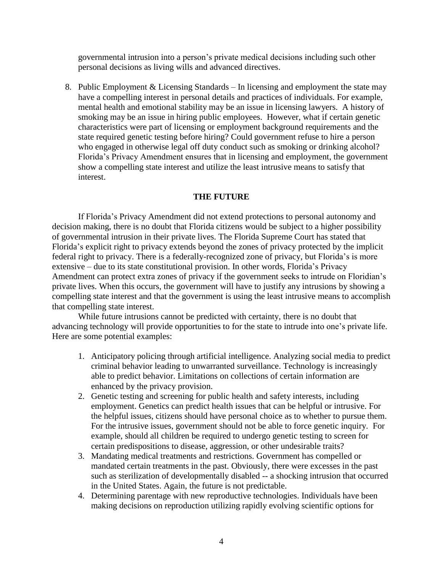governmental intrusion into a person's private medical decisions including such other personal decisions as living wills and advanced directives.

8. Public Employment & Licensing Standards – In licensing and employment the state may have a compelling interest in personal details and practices of individuals. For example, mental health and emotional stability may be an issue in licensing lawyers. A history of smoking may be an issue in hiring public employees. However, what if certain genetic characteristics were part of licensing or employment background requirements and the state required genetic testing before hiring? Could government refuse to hire a person who engaged in otherwise legal off duty conduct such as smoking or drinking alcohol? Florida's Privacy Amendment ensures that in licensing and employment, the government show a compelling state interest and utilize the least intrusive means to satisfy that interest.

## **THE FUTURE**

If Florida's Privacy Amendment did not extend protections to personal autonomy and decision making, there is no doubt that Florida citizens would be subject to a higher possibility of governmental intrusion in their private lives. The Florida Supreme Court has stated that Florida's explicit right to privacy extends beyond the zones of privacy protected by the implicit federal right to privacy. There is a federally-recognized zone of privacy, but Florida's is more extensive – due to its state constitutional provision. In other words, Florida's Privacy Amendment can protect extra zones of privacy if the government seeks to intrude on Floridian's private lives. When this occurs, the government will have to justify any intrusions by showing a compelling state interest and that the government is using the least intrusive means to accomplish that compelling state interest.

While future intrusions cannot be predicted with certainty, there is no doubt that advancing technology will provide opportunities to for the state to intrude into one's private life. Here are some potential examples:

- 1. Anticipatory policing through artificial intelligence. Analyzing social media to predict criminal behavior leading to unwarranted surveillance. Technology is increasingly able to predict behavior. Limitations on collections of certain information are enhanced by the privacy provision.
- 2. Genetic testing and screening for public health and safety interests, including employment. Genetics can predict health issues that can be helpful or intrusive. For the helpful issues, citizens should have personal choice as to whether to pursue them. For the intrusive issues, government should not be able to force genetic inquiry. For example, should all children be required to undergo genetic testing to screen for certain predispositions to disease, aggression, or other undesirable traits?
- 3. Mandating medical treatments and restrictions. Government has compelled or mandated certain treatments in the past. Obviously, there were excesses in the past such as sterilization of developmentally disabled -- a shocking intrusion that occurred in the United States. Again, the future is not predictable.
- 4. Determining parentage with new reproductive technologies. Individuals have been making decisions on reproduction utilizing rapidly evolving scientific options for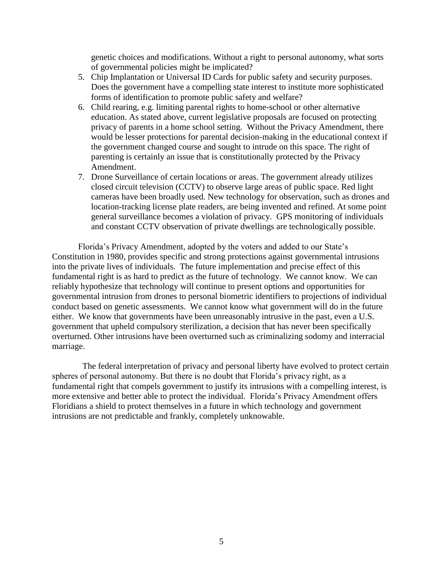genetic choices and modifications. Without a right to personal autonomy, what sorts of governmental policies might be implicated?

- 5. Chip Implantation or Universal ID Cards for public safety and security purposes. Does the government have a compelling state interest to institute more sophisticated forms of identification to promote public safety and welfare?
- 6. Child rearing, e.g. limiting parental rights to home-school or other alternative education. As stated above, current legislative proposals are focused on protecting privacy of parents in a home school setting. Without the Privacy Amendment, there would be lesser protections for parental decision-making in the educational context if the government changed course and sought to intrude on this space. The right of parenting is certainly an issue that is constitutionally protected by the Privacy Amendment.
- 7. Drone Surveillance of certain locations or areas. The government already utilizes closed circuit television (CCTV) to observe large areas of public space. Red light cameras have been broadly used. New technology for observation, such as drones and location-tracking license plate readers, are being invented and refined. At some point general surveillance becomes a violation of privacy. GPS monitoring of individuals and constant CCTV observation of private dwellings are technologically possible.

Florida's Privacy Amendment, adopted by the voters and added to our State's Constitution in 1980, provides specific and strong protections against governmental intrusions into the private lives of individuals. The future implementation and precise effect of this fundamental right is as hard to predict as the future of technology. We cannot know. We can reliably hypothesize that technology will continue to present options and opportunities for governmental intrusion from drones to personal biometric identifiers to projections of individual conduct based on genetic assessments. We cannot know what government will do in the future either. We know that governments have been unreasonably intrusive in the past, even a U.S. government that upheld compulsory sterilization, a decision that has never been specifically overturned. Other intrusions have been overturned such as criminalizing sodomy and interracial marriage.

 The federal interpretation of privacy and personal liberty have evolved to protect certain spheres of personal autonomy. But there is no doubt that Florida's privacy right, as a fundamental right that compels government to justify its intrusions with a compelling interest, is more extensive and better able to protect the individual. Florida's Privacy Amendment offers Floridians a shield to protect themselves in a future in which technology and government intrusions are not predictable and frankly, completely unknowable.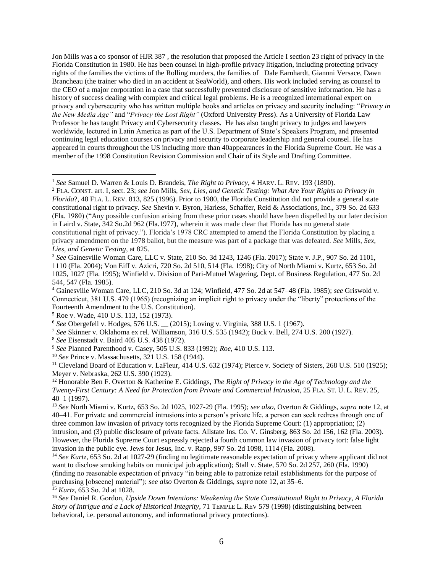Jon Mills was a co sponsor of HJR 387 , the resolution that proposed the Article I section 23 right of privacy in the Florida Constitution in 1980. He has been counsel in high-profile privacy litigation, including protecting privacy rights of the families the victims of the Rolling murders, the families of Dale Earnhardt, Giannni Versace, Dawn Brancheau (the trainer who died in an accident at SeaWorld), and others. His work included serving as counsel to the CEO of a major corporation in a case that successfully prevented disclosure of sensitive information. He has a history of success dealing with complex and critical legal problems. He is a recognized international expert on privacy and cybersecurity who has written multiple books and articles on privacy and security including: "*Privacy in the New Media Age"* and "*Privacy the Lost Right"* (Oxford University Press). As a University of Florida Law Professor he has taught Privacy and Cybersecurity classes. He has also taught privacy to judges and lawyers worldwide, lectured in Latin America as part of the U.S. Department of State's Speakers Program, and presented continuing legal education courses on privacy and security to corporate leadership and general counsel. He has appeared in courts throughout the US including more than 40appearances in the Florida Supreme Court. He was a member of the 1998 Constitution Revision Commission and Chair of its Style and Drafting Committee.

 $\overline{a}$ 

- <sup>8</sup> *See* Eisenstadt v. Baird 405 U.S. 438 (1972).
- <sup>9</sup> *See* Planned Parenthood v. Casey, 505 U.S. 833 (1992); *Roe*, 410 U.S. 113.
- <sup>10</sup> *See* Prince v. Massachusetts, 321 U.S. 158 (1944).

<sup>11</sup> Cleveland Board of Education v. LaFleur, 414 U.S. 632 (1974); Pierce v. Society of Sisters, 268 U.S. 510 (1925); Meyer v. Nebraska, 262 U.S. 390 (1923).

<sup>12</sup> Honorable Ben F. Overton & Katherine E. Giddings, *The Right of Privacy in the Age of Technology and the Twenty-First Century: A Need for Protection from Private and Commercial Intrusion,* 25 FLA. ST. U. L. REV. 25, 40–1 (1997).

<sup>13</sup> *See* North Miami v. Kurtz, 653 So. 2d 1025, 1027-29 (Fla. 1995); *see also*, Overton & Giddings, *supra* note 12, at 40–41. For private and commercial intrusions into a person's private life, a person can seek redress through one of three common law invasion of privacy torts recognized by the Florida Supreme Court: (1) appropriation; (2) intrusion, and (3) public disclosure of private facts. Allstate Ins. Co. V. Ginsberg, 863 So. 2d 156, 162 (Fla. 2003). However, the Florida Supreme Court expressly rejected a fourth common law invasion of privacy tort: false light invasion in the public eye. Jews for Jesus, Inc. v. Rapp, 997 So. 2d 1098, 1114 (Fla. 2008).

<sup>14</sup> *See Kurtz*, 653 So. 2d at 1027-29 (finding no legitimate reasonable expectation of privacy where applicant did not want to disclose smoking habits on municipal job application); Stall v. State, 570 So. 2d 257, 260 (Fla. 1990) (finding no reasonable expectation of privacy "in being able to patronize retail establishments for the purpose of purchasing [obscene] material"); *see also* Overton & Giddings, *supra* note 12, at 35–6. <sup>15</sup> *Kurtz*, 653 So. 2d at 1028.

<sup>16</sup> *See* Daniel R. Gordon, *Upside Down Intentions: Weakening the State Constitutional Right to Privacy, A Florida Story of Intrigue and a Lack of Historical Integrity*, 71 TEMPLE L. REV 579 (1998) (distinguishing between behavioral, i.e. personal autonomy, and informational privacy protections).

<sup>1</sup> *See* Samuel D. Warren & Louis D. Brandeis, *The Right to Privacy*, 4 HARV. L. REV. 193 (1890).

<sup>2</sup> FLA. CONST. art. I, sect. 23; *see* Jon Mills, *Sex, Lies, and Genetic Testing: What Are Your Rights to Privacy in Florida*?, 48 FLA. L. REV. 813, 825 (1996). Prior to 1980, the Florida Constitution did not provide a general state constitutional right to privacy. *See* Shevin v. Byron, Harless, Schaffer, Reid & Associations, Inc., 379 So. 2d 633 (Fla. 1980) ("Any possible confusion arising from these prior cases should have been dispelled by our later decision in Laird v. State, 342 So.2d 962 (Fla.1977), wherein it was made clear that Florida has no general state constitutional right of privacy."). Florida's 1978 CRC attempted to amend the Florida Constitution by placing a privacy amendment on the 1978 ballot, but the measure was part of a package that was defeated. *See* Mills, *Sex, Lies, and Genetic Testing*, at 825.

<sup>3</sup> *See* Gainesville Woman Care, LLC v. State, 210 So. 3d 1243, 1246 (Fla. 2017); State v. J.P., 907 So. 2d 1101, 1110 (Fla. 2004); Von Eiff v. Azicri, 720 So. 2d 510, 514 (Fla. 1998); City of North Miami v. Kurtz, 653 So. 2d 1025, 1027 (Fla. 1995); Winfield v. Division of Pari-Mutuel Wagering, Dept. of Business Regulation, 477 So. 2d 544, 547 (Fla. 1985).

<sup>4</sup> Gainesville Woman Care, LLC, 210 So. 3d at 124; Winfield, 477 So. 2d at 547–48 (Fla. 1985); *see* Griswold v. Connecticut, 381 U.S. 479 (1965) (recognizing an implicit right to privacy under the "liberty" protections of the Fourteenth Amendment to the U.S. Constitution).

<sup>5</sup> Roe v. Wade, 410 U.S. 113, 152 (1973).

<sup>6</sup> *See* Obergefell v. Hodges, 576 U.S. \_\_ (2015); Loving v. Virginia, 388 U.S. 1 (1967).

<sup>7</sup> *See* Skinner v. Oklahoma ex rel. Williamson, 316 U.S. 535 (1942); Buck v. Bell, 274 U.S. 200 (1927).